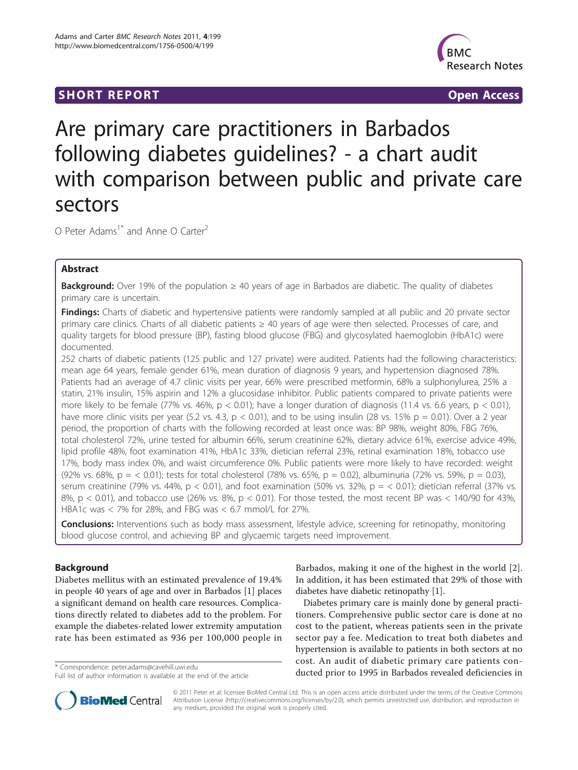## **SHORT REPORT CONSUMING THE OPEN ACCESS**



# Are primary care practitioners in Barbados following diabetes guidelines? - a chart audit with comparison between public and private care sectors

 $\Omega$  Peter Adams<sup>1\*</sup> and Anne  $\Omega$  Carter<sup>2</sup>

## Abstract

**Background:** Over 19% of the population  $\geq$  40 years of age in Barbados are diabetic. The quality of diabetes primary care is uncertain.

Findings: Charts of diabetic and hypertensive patients were randomly sampled at all public and 20 private sector primary care clinics. Charts of all diabetic patients ≥ 40 years of age were then selected. Processes of care, and quality targets for blood pressure (BP), fasting blood glucose (FBG) and glycosylated haemoglobin (HbA1c) were documented.

252 charts of diabetic patients (125 public and 127 private) were audited. Patients had the following characteristics: mean age 64 years, female gender 61%, mean duration of diagnosis 9 years, and hypertension diagnosed 78%. Patients had an average of 4.7 clinic visits per year, 66% were prescribed metformin, 68% a sulphonylurea, 25% a statin, 21% insulin, 15% aspirin and 12% a glucosidase inhibitor. Public patients compared to private patients were more likely to be female (77% vs. 46%,  $p < 0.01$ ); have a longer duration of diagnosis (11.4 vs. 6.6 years,  $p < 0.01$ ), have more clinic visits per year (5.2 vs. 4.3,  $p < 0.01$ ), and to be using insulin (28 vs. 15%  $p = 0.01$ ). Over a 2 year period, the proportion of charts with the following recorded at least once was: BP 98%, weight 80%, FBG 76%, total cholesterol 72%, urine tested for albumin 66%, serum creatinine 62%, dietary advice 61%, exercise advice 49%, lipid profile 48%, foot examination 41%, HbA1c 33%, dietician referral 23%, retinal examination 18%, tobacco use 17%, body mass index 0%, and waist circumference 0%. Public patients were more likely to have recorded: weight (92% vs. 68%,  $p = 0.01$ ); tests for total cholesterol (78% vs. 65%,  $p = 0.02$ ), albuminuria (72% vs. 59%,  $p = 0.03$ ), serum creatinine (79% vs. 44%,  $p < 0.01$ ), and foot examination (50% vs. 32%,  $p = < 0.01$ ); dietician referral (37% vs. 8%, p < 0.01), and tobacco use (26% vs. 8%, p < 0.01). For those tested, the most recent BP was < 140/90 for 43%, HBA1c was  $<$  7% for 28%, and FBG was  $<$  6.7 mmol/L for 27%.

**Conclusions:** Interventions such as body mass assessment, lifestyle advice, screening for retinopathy, monitoring blood glucose control, and achieving BP and glycaemic targets need improvement.

## Background

Diabetes mellitus with an estimated prevalence of 19.4% in people 40 years of age and over in Barbados [[1\]](#page-6-0) places a significant demand on health care resources. Complications directly related to diabetes add to the problem. For example the diabetes-related lower extremity amputation rate has been estimated as 936 per 100,000 people in

Barbados, making it one of the highest in the world [[2](#page-6-0)]. In addition, it has been estimated that 29% of those with diabetes have diabetic retinopathy [\[1](#page-6-0)].

Diabetes primary care is mainly done by general practitioners. Comprehensive public sector care is done at no cost to the patient, whereas patients seen in the private sector pay a fee. Medication to treat both diabetes and hypertension is available to patients in both sectors at no cost. An audit of diabetic primary care patients con\* Correspondence: [peter.adams@cavehill.uwi.edu](mailto:peter.adams@cavehill.uwi.edu)<br>Full list of author information is available at the end of the article **ducted prior to 1995 in Barbados revealed deficiencies in** 



© 2011 Peter et al; licensee BioMed Central Ltd. This is an open access article distributed under the terms of the Creative Commons Attribution License [\(http://creativecommons.org/licenses/by/2.0](http://creativecommons.org/licenses/by/2.0)), which permits unrestricted use, distribution, and reproduction in any medium, provided the original work is properly cited.

Full list of author information is available at the end of the article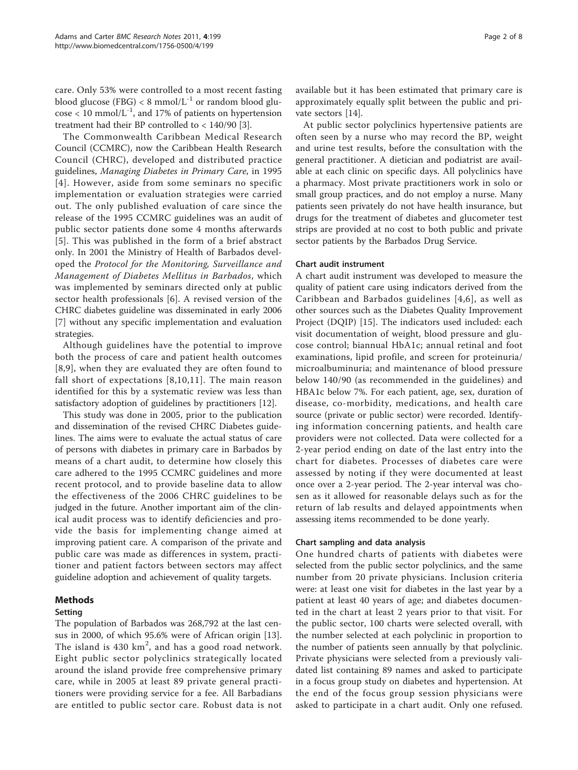care. Only 53% were controlled to a most recent fasting blood glucose (FBG) < 8 mmol/ $L^{-1}$  or random blood glu- $\csc 10$  mmol/L<sup>-1</sup>, and 17% of patients on hypertension treatment had their BP controlled to < 140/90 [[3](#page-6-0)].

The Commonwealth Caribbean Medical Research Council (CCMRC), now the Caribbean Health Research Council (CHRC), developed and distributed practice guidelines, Managing Diabetes in Primary Care, in 1995 [[4\]](#page-6-0). However, aside from some seminars no specific implementation or evaluation strategies were carried out. The only published evaluation of care since the release of the 1995 CCMRC guidelines was an audit of public sector patients done some 4 months afterwards [[5](#page-6-0)]. This was published in the form of a brief abstract only. In 2001 the Ministry of Health of Barbados developed the Protocol for the Monitoring, Surveillance and Management of Diabetes Mellitus in Barbados, which was implemented by seminars directed only at public sector health professionals [\[6](#page-6-0)]. A revised version of the CHRC diabetes guideline was disseminated in early 2006 [[7\]](#page-6-0) without any specific implementation and evaluation strategies.

Although guidelines have the potential to improve both the process of care and patient health outcomes [[8](#page-6-0),[9\]](#page-6-0), when they are evaluated they are often found to fall short of expectations [[8](#page-6-0),[10](#page-6-0),[11\]](#page-6-0). The main reason identified for this by a systematic review was less than satisfactory adoption of guidelines by practitioners [\[12\]](#page-6-0).

This study was done in 2005, prior to the publication and dissemination of the revised CHRC Diabetes guidelines. The aims were to evaluate the actual status of care of persons with diabetes in primary care in Barbados by means of a chart audit, to determine how closely this care adhered to the 1995 CCMRC guidelines and more recent protocol, and to provide baseline data to allow the effectiveness of the 2006 CHRC guidelines to be judged in the future. Another important aim of the clinical audit process was to identify deficiencies and provide the basis for implementing change aimed at improving patient care. A comparison of the private and public care was made as differences in system, practitioner and patient factors between sectors may affect guideline adoption and achievement of quality targets.

## Methods

## Setting

The population of Barbados was 268,792 at the last census in 2000, of which 95.6% were of African origin [\[13](#page-6-0)]. The island is  $430 \text{ km}^2$ , and has a good road network. Eight public sector polyclinics strategically located around the island provide free comprehensive primary care, while in 2005 at least 89 private general practitioners were providing service for a fee. All Barbadians are entitled to public sector care. Robust data is not available but it has been estimated that primary care is approximately equally split between the public and private sectors [[14\]](#page-6-0).

At public sector polyclinics hypertensive patients are often seen by a nurse who may record the BP, weight and urine test results, before the consultation with the general practitioner. A dietician and podiatrist are available at each clinic on specific days. All polyclinics have a pharmacy. Most private practitioners work in solo or small group practices, and do not employ a nurse. Many patients seen privately do not have health insurance, but drugs for the treatment of diabetes and glucometer test strips are provided at no cost to both public and private sector patients by the Barbados Drug Service.

#### Chart audit instrument

A chart audit instrument was developed to measure the quality of patient care using indicators derived from the Caribbean and Barbados guidelines [[4](#page-6-0),[6](#page-6-0)], as well as other sources such as the Diabetes Quality Improvement Project (DQIP) [[15\]](#page-6-0). The indicators used included: each visit documentation of weight, blood pressure and glucose control; biannual HbA1c; annual retinal and foot examinations, lipid profile, and screen for proteinuria/ microalbuminuria; and maintenance of blood pressure below 140/90 (as recommended in the guidelines) and HBA1c below 7%. For each patient, age, sex, duration of disease, co-morbidity, medications, and health care source (private or public sector) were recorded. Identifying information concerning patients, and health care providers were not collected. Data were collected for a 2-year period ending on date of the last entry into the chart for diabetes. Processes of diabetes care were assessed by noting if they were documented at least once over a 2-year period. The 2-year interval was chosen as it allowed for reasonable delays such as for the return of lab results and delayed appointments when assessing items recommended to be done yearly.

#### Chart sampling and data analysis

One hundred charts of patients with diabetes were selected from the public sector polyclinics, and the same number from 20 private physicians. Inclusion criteria were: at least one visit for diabetes in the last year by a patient at least 40 years of age; and diabetes documented in the chart at least 2 years prior to that visit. For the public sector, 100 charts were selected overall, with the number selected at each polyclinic in proportion to the number of patients seen annually by that polyclinic. Private physicians were selected from a previously validated list containing 89 names and asked to participate in a focus group study on diabetes and hypertension. At the end of the focus group session physicians were asked to participate in a chart audit. Only one refused.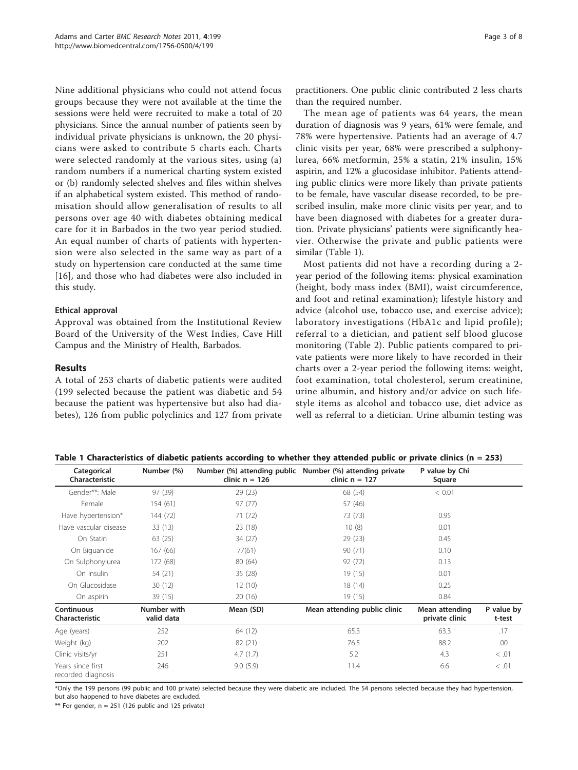Nine additional physicians who could not attend focus groups because they were not available at the time the sessions were held were recruited to make a total of 20 physicians. Since the annual number of patients seen by individual private physicians is unknown, the 20 physicians were asked to contribute 5 charts each. Charts were selected randomly at the various sites, using (a) random numbers if a numerical charting system existed or (b) randomly selected shelves and files within shelves if an alphabetical system existed. This method of randomisation should allow generalisation of results to all persons over age 40 with diabetes obtaining medical care for it in Barbados in the two year period studied. An equal number of charts of patients with hypertension were also selected in the same way as part of a study on hypertension care conducted at the same time [[16](#page-6-0)], and those who had diabetes were also included in this study.

## Ethical approval

Approval was obtained from the Institutional Review Board of the University of the West Indies, Cave Hill Campus and the Ministry of Health, Barbados.

## Results

A total of 253 charts of diabetic patients were audited (199 selected because the patient was diabetic and 54 because the patient was hypertensive but also had diabetes), 126 from public polyclinics and 127 from private

practitioners. One public clinic contributed 2 less charts than the required number.

The mean age of patients was 64 years, the mean duration of diagnosis was 9 years, 61% were female, and 78% were hypertensive. Patients had an average of 4.7 clinic visits per year, 68% were prescribed a sulphonylurea, 66% metformin, 25% a statin, 21% insulin, 15% aspirin, and 12% a glucosidase inhibitor. Patients attending public clinics were more likely than private patients to be female, have vascular disease recorded, to be prescribed insulin, make more clinic visits per year, and to have been diagnosed with diabetes for a greater duration. Private physicians' patients were significantly heavier. Otherwise the private and public patients were similar (Table 1).

Most patients did not have a recording during a 2 year period of the following items: physical examination (height, body mass index (BMI), waist circumference, and foot and retinal examination); lifestyle history and advice (alcohol use, tobacco use, and exercise advice); laboratory investigations (HbA1c and lipid profile); referral to a dietician, and patient self blood glucose monitoring (Table [2\)](#page-3-0). Public patients compared to private patients were more likely to have recorded in their charts over a 2-year period the following items: weight, foot examination, total cholesterol, serum creatinine, urine albumin, and history and/or advice on such lifestyle items as alcohol and tobacco use, diet advice as well as referral to a dietician. Urine albumin testing was

|  | Table 1 Characteristics of diabetic patients according to whether they attended public or private clinics (n = 253) |  |  |
|--|---------------------------------------------------------------------------------------------------------------------|--|--|
|--|---------------------------------------------------------------------------------------------------------------------|--|--|

| Categorical<br>Characteristic              | Number (%)                | clinic $n = 126$ | Number (%) attending public Number (%) attending private<br>clinic $n = 127$ | P value by Chi<br>Square         |                      |
|--------------------------------------------|---------------------------|------------------|------------------------------------------------------------------------------|----------------------------------|----------------------|
| Gender**: Male                             | 97 (39)                   | 29 (23)          | 68 (54)                                                                      | < 0.01                           |                      |
| Female                                     | 154(61)                   | 97(77)           | 57 (46)                                                                      |                                  |                      |
| Have hypertension*                         | 144 (72)                  | 71(72)           | 73 (73)                                                                      | 0.95                             |                      |
| Have vascular disease                      | 33(13)                    | 23(18)           | 10(8)                                                                        | 0.01                             |                      |
| On Statin                                  | 63(25)                    | 34(27)           | 29(23)                                                                       | 0.45                             |                      |
| On Biguanide                               | 167(66)                   | 77(61)           | 90 (71)                                                                      | 0.10                             |                      |
| On Sulphonylurea                           | 172 (68)                  | 80(64)           | 92 (72)                                                                      | 0.13                             |                      |
| On Insulin                                 | 54 (21)                   | 35(28)           | 19(15)                                                                       | 0.01                             |                      |
| On Glucosidase                             | 30(12)                    | 12(10)           | 18 (14)                                                                      | 0.25                             |                      |
| On aspirin                                 | 39(15)                    | 20(16)           | 19(15)                                                                       | 0.84                             |                      |
| <b>Continuous</b><br><b>Characteristic</b> | Number with<br>valid data | Mean (SD)        | Mean attending public clinic                                                 | Mean attending<br>private clinic | P value by<br>t-test |
| Age (years)                                | 252                       | 64 (12)          | 65.3                                                                         | 63.3                             | .17                  |
| Weight (kg)                                | 202                       | 82 (21)          | 76.5                                                                         | 88.2                             | .00                  |
| Clinic visits/yr                           | 251                       | 4.7(1.7)         | 5.2                                                                          | 4.3                              | < .01                |
| Years since first<br>recorded diagnosis    | 246                       | 9.0(5.9)         | 11.4                                                                         | 6.6                              | < .01                |

\*Only the 199 persons (99 public and 100 private) selected because they were diabetic are included. The 54 persons selected because they had hypertension, but also happened to have diabetes are excluded.

\*\* For gender,  $n = 251$  (126 public and 125 private)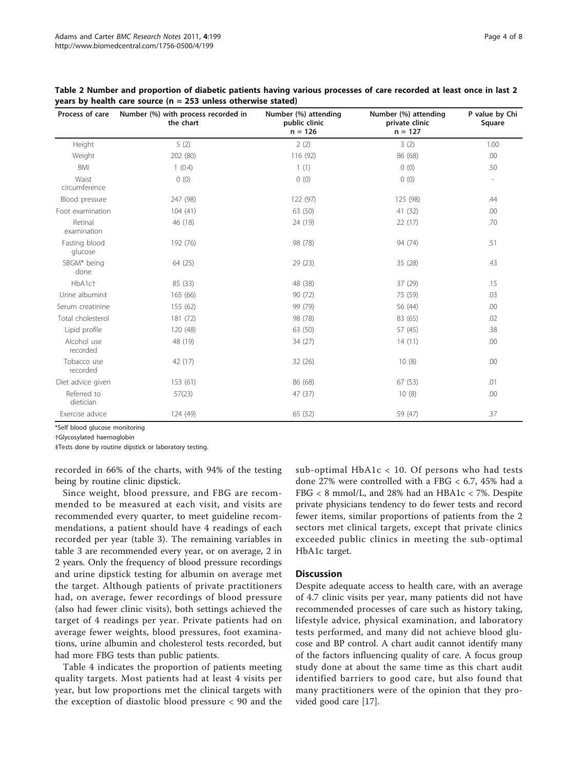| Process of care          | Number (%) with process recorded in<br>the chart | Number (%) attending<br>public clinic<br>$n = 126$ | Number (%) attending<br>private clinic<br>$n = 127$ | P value by Chi<br>Square |
|--------------------------|--------------------------------------------------|----------------------------------------------------|-----------------------------------------------------|--------------------------|
| Height                   | 5(2)                                             | 2(2)                                               | 3(2)                                                | 1.00                     |
| Weight                   | 202 (80)                                         | 116 (92)                                           | 86 (68)                                             | .00                      |
| <b>BMI</b>               | 1(0.4)                                           | 1(1)                                               | 0(0)                                                | .50                      |
| Waist<br>circumference   | 0(0)                                             | 0(0)                                               | 0(0)                                                | $\overline{\phantom{a}}$ |
| Blood pressure           | 247 (98)                                         | 122 (97)                                           | 125 (98)                                            | .44                      |
| Foot examination         | 104(41)                                          | 63 (50)                                            | 41 (32)                                             | .00                      |
| Retinal<br>examination   | 46 (18)                                          | 24 (19)                                            | 22(17)                                              | .70                      |
| Fasting blood<br>glucose | 192 (76)                                         | 98 (78)                                            | 94 (74)                                             | .51                      |
| SBGM* being<br>done      | 64 (25)                                          | 29 (23)                                            | 35 (28)                                             | .43                      |
| HbA1ct                   | 85 (33)                                          | 48 (38)                                            | 37 (29)                                             | .15                      |
| Urine albumin‡           | 165 (66)                                         | 90(72)                                             | 75 (59)                                             | .03                      |
| Serum creatinine         | 155 (62)                                         | 99 (79)                                            | 56 (44)                                             | .00                      |
| Total cholesterol        | 181 (72)                                         | 98 (78)                                            | 83 (65)                                             | .02                      |
| Lipid profile            | 120 (48)                                         | 63 (50)                                            | 57 (45)                                             | .38                      |
| Alcohol use<br>recorded  | 48 (19)                                          | 34 (27)                                            | 14(11)                                              | .00                      |
| Tobacco use<br>recorded  | 42 (17)                                          | 32 (26)                                            | 10(8)                                               | .00                      |
| Diet advice given        | 153 (61)                                         | 86 (68)                                            | 67 (53)                                             | .01                      |
| Referred to<br>dietician | 57(23)                                           | 47 (37)                                            | 10(8)                                               | .00                      |
| Exercise advice          | 124 (49)                                         | 65 (52)                                            | 59 (47)                                             | .37                      |

<span id="page-3-0"></span>

| Table 2 Number and proportion of diabetic patients having various processes of care recorded at least once in last 2 |  |  |  |  |  |
|----------------------------------------------------------------------------------------------------------------------|--|--|--|--|--|
| years by health care source ( $n = 253$ unless otherwise stated)                                                     |  |  |  |  |  |

\*Self blood glucose monitoring

†Glycosylated haemoglobin

‡Tests done by routine dipstick or laboratory testing.

recorded in 66% of the charts, with 94% of the testing being by routine clinic dipstick.

Since weight, blood pressure, and FBG are recommended to be measured at each visit, and visits are recommended every quarter, to meet guideline recommendations, a patient should have 4 readings of each recorded per year (table [3](#page-4-0)). The remaining variables in table [3](#page-4-0) are recommended every year, or on average, 2 in 2 years. Only the frequency of blood pressure recordings and urine dipstick testing for albumin on average met the target. Although patients of private practitioners had, on average, fewer recordings of blood pressure (also had fewer clinic visits), both settings achieved the target of 4 readings per year. Private patients had on average fewer weights, blood pressures, foot examinations, urine albumin and cholesterol tests recorded, but had more FBG tests than public patients.

Table [4](#page-4-0) indicates the proportion of patients meeting quality targets. Most patients had at least 4 visits per year, but low proportions met the clinical targets with the exception of diastolic blood pressure < 90 and the sub-optimal HbA1c < 10. Of persons who had tests done 27% were controlled with a FBG < 6.7, 45% had a FBG < 8 mmol/L, and 28% had an HBA1c < 7%. Despite private physicians tendency to do fewer tests and record fewer items, similar proportions of patients from the 2 sectors met clinical targets, except that private clinics exceeded public clinics in meeting the sub-optimal HbA1c target.

#### **Discussion**

Despite adequate access to health care, with an average of 4.7 clinic visits per year, many patients did not have recommended processes of care such as history taking, lifestyle advice, physical examination, and laboratory tests performed, and many did not achieve blood glucose and BP control. A chart audit cannot identify many of the factors influencing quality of care. A focus group study done at about the same time as this chart audit identified barriers to good care, but also found that many practitioners were of the opinion that they provided good care [\[17\]](#page-6-0).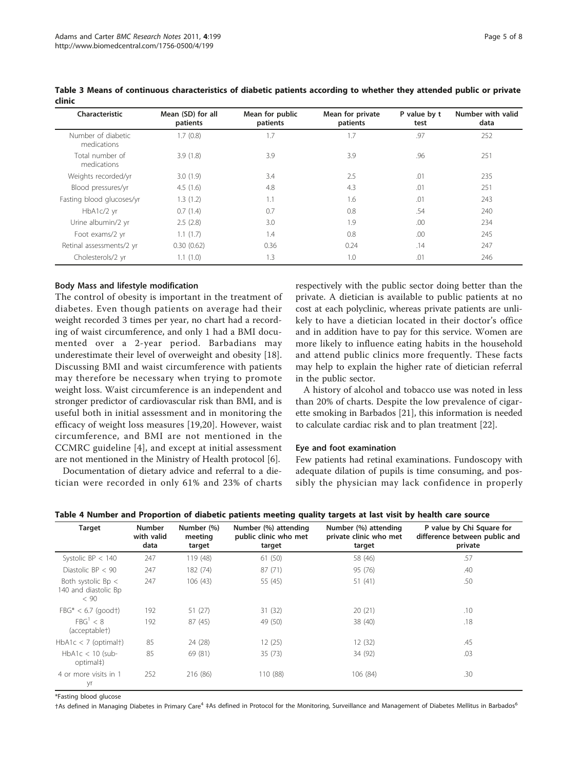| Characteristic                    | Mean (SD) for all<br>patients | Mean for public<br>patients | Mean for private<br>patients | P value by t<br>test | Number with valid<br>data |
|-----------------------------------|-------------------------------|-----------------------------|------------------------------|----------------------|---------------------------|
| Number of diabetic<br>medications | 1.7(0.8)                      | 1.7                         | 1.7                          | .97                  | 252                       |
| Total number of<br>medications    | 3.9(1.8)                      | 3.9                         | 3.9                          | .96                  | 251                       |
| Weights recorded/yr               | 3.0(1.9)                      | 3.4                         | 2.5                          | .01                  | 235                       |
| Blood pressures/yr                | 4.5(1.6)                      | 4.8                         | 4.3                          | .01                  | 251                       |
| Fasting blood glucoses/yr         | 1.3(1.2)                      | 1.1                         | 1.6                          | .01                  | 243                       |
| $HbA1c/2$ yr                      | 0.7(1.4)                      | 0.7                         | 0.8                          | .54                  | 240                       |
| Urine albumin/2 yr                | 2.5(2.8)                      | 3.0                         | 1.9                          | .00                  | 234                       |
| Foot exams/2 yr                   | 1.1(1.7)                      | 1.4                         | 0.8                          | .00                  | 245                       |
| Retinal assessments/2 yr          | 0.30(0.62)                    | 0.36                        | 0.24                         | .14                  | 247                       |
| Cholesterols/2 yr                 | 1.1(1.0)                      | 1.3                         | 1.0                          | .01                  | 246                       |

<span id="page-4-0"></span>Table 3 Means of continuous characteristics of diabetic patients according to whether they attended public or private clinic

#### Body Mass and lifestyle modification

The control of obesity is important in the treatment of diabetes. Even though patients on average had their weight recorded 3 times per year, no chart had a recording of waist circumference, and only 1 had a BMI documented over a 2-year period. Barbadians may underestimate their level of overweight and obesity [\[18](#page-7-0)]. Discussing BMI and waist circumference with patients may therefore be necessary when trying to promote weight loss. Waist circumference is an independent and stronger predictor of cardiovascular risk than BMI, and is useful both in initial assessment and in monitoring the efficacy of weight loss measures [[19,20](#page-7-0)]. However, waist circumference, and BMI are not mentioned in the CCMRC guideline [\[4](#page-6-0)], and except at initial assessment are not mentioned in the Ministry of Health protocol [[6\]](#page-6-0).

Documentation of dietary advice and referral to a dietician were recorded in only 61% and 23% of charts

respectively with the public sector doing better than the private. A dietician is available to public patients at no cost at each polyclinic, whereas private patients are unlikely to have a dietician located in their doctor's office and in addition have to pay for this service. Women are more likely to influence eating habits in the household and attend public clinics more frequently. These facts may help to explain the higher rate of dietician referral in the public sector.

A history of alcohol and tobacco use was noted in less than 20% of charts. Despite the low prevalence of cigarette smoking in Barbados [[21\]](#page-7-0), this information is needed to calculate cardiac risk and to plan treatment [[22](#page-7-0)].

#### Eye and foot examination

Few patients had retinal examinations. Fundoscopy with adequate dilation of pupils is time consuming, and possibly the physician may lack confidence in properly

| Target                                                 | <b>Number</b><br>with valid<br>data | Number (%)<br>meeting<br>target | Number (%) attending<br>public clinic who met<br>target | Number (%) attending<br>private clinic who met<br>target | P value by Chi Square for<br>difference between public and<br>private |
|--------------------------------------------------------|-------------------------------------|---------------------------------|---------------------------------------------------------|----------------------------------------------------------|-----------------------------------------------------------------------|
| Systolic $BP < 140$                                    | 247                                 | 119 (48)                        | 61 (50)                                                 | 58 (46)                                                  | .57                                                                   |
| Diastolic $BP < 90$                                    | 247                                 | 182 (74)                        | 87(71)                                                  | 95 (76)                                                  | .40                                                                   |
| Both systolic Bp $\lt$<br>140 and diastolic Bp<br>< 90 | 247                                 | 106(43)                         | 55 (45)                                                 | 51(41)                                                   | .50                                                                   |
| $FBG^* < 6.7$ (good†)                                  | 192                                 | 51 (27)                         | 31(32)                                                  | 20(21)                                                   | .10                                                                   |
| FBG <sup>1</sup> < 8<br>(acceptable+)                  | 192                                 | 87(45)                          | 49 (50)                                                 | 38 (40)                                                  | .18                                                                   |
| $HbA1c < 7$ (optimal†)                                 | 85                                  | 24 (28)                         | 12(25)                                                  | 12(32)                                                   | .45                                                                   |
| $HbA1c < 10$ (sub-<br>optimal#)                        | 85                                  | 69 (81)                         | 35(73)                                                  | 34 (92)                                                  | .03                                                                   |
| 4 or more visits in 1<br>yr                            | 252                                 | 216 (86)                        | 110 (88)                                                | 106 (84)                                                 | .30                                                                   |

Table 4 Number and Proportion of diabetic patients meeting quality targets at last visit by health care source

\*Fasting blood glucose

†As defined in Managing Diabetes in Primary Care<sup>4</sup> ‡As defined in Protocol for the Monitoring, Surveillance and Management of Diabetes Mellitus in Barbados<sup>6</sup>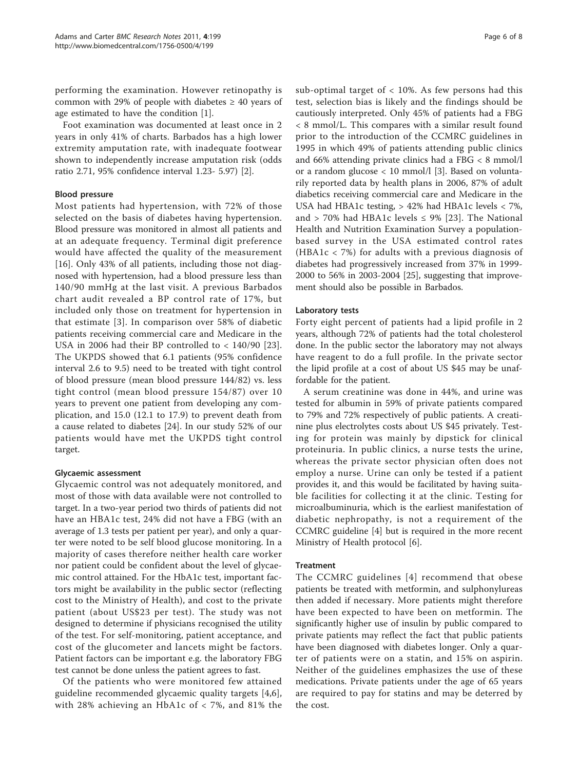performing the examination. However retinopathy is common with 29% of people with diabetes  $\geq$  40 years of age estimated to have the condition [\[1](#page-6-0)].

Foot examination was documented at least once in 2 years in only 41% of charts. Barbados has a high lower extremity amputation rate, with inadequate footwear shown to independently increase amputation risk (odds ratio 2.71, 95% confidence interval 1.23- 5.97) [[2](#page-6-0)].

## Blood pressure

Most patients had hypertension, with 72% of those selected on the basis of diabetes having hypertension. Blood pressure was monitored in almost all patients and at an adequate frequency. Terminal digit preference would have affected the quality of the measurement [[16\]](#page-6-0). Only 43% of all patients, including those not diagnosed with hypertension, had a blood pressure less than 140/90 mmHg at the last visit. A previous Barbados chart audit revealed a BP control rate of 17%, but included only those on treatment for hypertension in that estimate [\[3\]](#page-6-0). In comparison over 58% of diabetic patients receiving commercial care and Medicare in the USA in 2006 had their BP controlled to < 140/90 [[23](#page-7-0)]. The UKPDS showed that 6.1 patients (95% confidence interval 2.6 to 9.5) need to be treated with tight control of blood pressure (mean blood pressure 144/82) vs. less tight control (mean blood pressure 154/87) over 10 years to prevent one patient from developing any complication, and 15.0 (12.1 to 17.9) to prevent death from a cause related to diabetes [\[24\]](#page-7-0). In our study 52% of our patients would have met the UKPDS tight control target.

## Glycaemic assessment

Glycaemic control was not adequately monitored, and most of those with data available were not controlled to target. In a two-year period two thirds of patients did not have an HBA1c test, 24% did not have a FBG (with an average of 1.3 tests per patient per year), and only a quarter were noted to be self blood glucose monitoring. In a majority of cases therefore neither health care worker nor patient could be confident about the level of glycaemic control attained. For the HbA1c test, important factors might be availability in the public sector (reflecting cost to the Ministry of Health), and cost to the private patient (about US\$23 per test). The study was not designed to determine if physicians recognised the utility of the test. For self-monitoring, patient acceptance, and cost of the glucometer and lancets might be factors. Patient factors can be important e.g. the laboratory FBG test cannot be done unless the patient agrees to fast.

Of the patients who were monitored few attained guideline recommended glycaemic quality targets [[4,6](#page-6-0)], with 28% achieving an HbA1c of < 7%, and 81% the sub-optimal target of  $< 10\%$ . As few persons had this test, selection bias is likely and the findings should be cautiously interpreted. Only 45% of patients had a FBG < 8 mmol/L. This compares with a similar result found prior to the introduction of the CCMRC guidelines in 1995 in which 49% of patients attending public clinics and 66% attending private clinics had a FBG < 8 mmol/l or a random glucose < 10 mmol/l [[3\]](#page-6-0). Based on voluntarily reported data by health plans in 2006, 87% of adult diabetics receiving commercial care and Medicare in the USA had HBA1c testing, > 42% had HBA1c levels < 7%, and > 70% had HBA1c levels  $\leq$  9% [[23](#page-7-0)]. The National Health and Nutrition Examination Survey a populationbased survey in the USA estimated control rates (HBA1c < 7%) for adults with a previous diagnosis of diabetes had progressively increased from 37% in 1999- 2000 to 56% in 2003-2004 [[25](#page-7-0)], suggesting that improvement should also be possible in Barbados.

## Laboratory tests

Forty eight percent of patients had a lipid profile in 2 years, although 72% of patients had the total cholesterol done. In the public sector the laboratory may not always have reagent to do a full profile. In the private sector the lipid profile at a cost of about US \$45 may be unaffordable for the patient.

A serum creatinine was done in 44%, and urine was tested for albumin in 59% of private patients compared to 79% and 72% respectively of public patients. A creatinine plus electrolytes costs about US \$45 privately. Testing for protein was mainly by dipstick for clinical proteinuria. In public clinics, a nurse tests the urine, whereas the private sector physician often does not employ a nurse. Urine can only be tested if a patient provides it, and this would be facilitated by having suitable facilities for collecting it at the clinic. Testing for microalbuminuria, which is the earliest manifestation of diabetic nephropathy, is not a requirement of the CCMRC guideline [\[4](#page-6-0)] but is required in the more recent Ministry of Health protocol [[6\]](#page-6-0).

#### **Treatment**

The CCMRC guidelines [\[4\]](#page-6-0) recommend that obese patients be treated with metformin, and sulphonylureas then added if necessary. More patients might therefore have been expected to have been on metformin. The significantly higher use of insulin by public compared to private patients may reflect the fact that public patients have been diagnosed with diabetes longer. Only a quarter of patients were on a statin, and 15% on aspirin. Neither of the guidelines emphasizes the use of these medications. Private patients under the age of 65 years are required to pay for statins and may be deterred by the cost.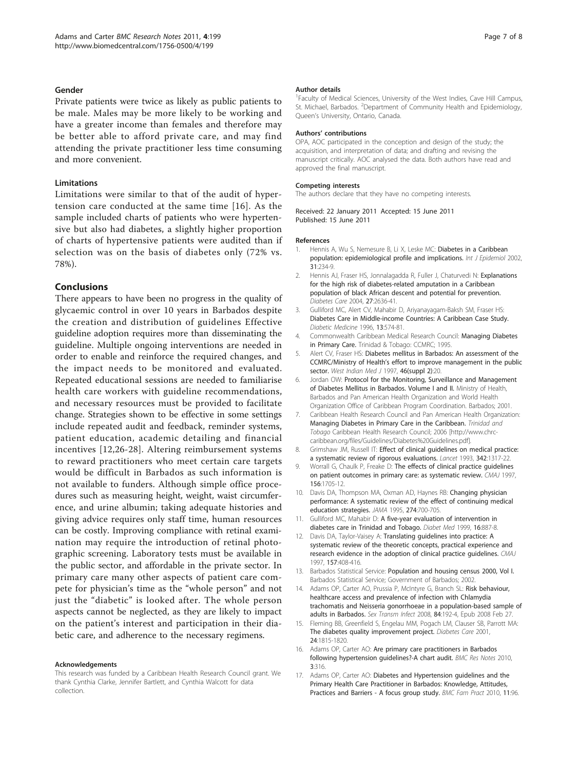#### <span id="page-6-0"></span>Gender

Private patients were twice as likely as public patients to be male. Males may be more likely to be working and have a greater income than females and therefore may be better able to afford private care, and may find attending the private practitioner less time consuming and more convenient.

#### Limitations

Limitations were similar to that of the audit of hypertension care conducted at the same time [16]. As the sample included charts of patients who were hypertensive but also had diabetes, a slightly higher proportion of charts of hypertensive patients were audited than if selection was on the basis of diabetes only (72% vs. 78%).

#### Conclusions

There appears to have been no progress in the quality of glycaemic control in over 10 years in Barbados despite the creation and distribution of guidelines Effective guideline adoption requires more than disseminating the guideline. Multiple ongoing interventions are needed in order to enable and reinforce the required changes, and the impact needs to be monitored and evaluated. Repeated educational sessions are needed to familiarise health care workers with guideline recommendations, and necessary resources must be provided to facilitate change. Strategies shown to be effective in some settings include repeated audit and feedback, reminder systems, patient education, academic detailing and financial incentives [12[,26-28](#page-7-0)]. Altering reimbursement systems to reward practitioners who meet certain care targets would be difficult in Barbados as such information is not available to funders. Although simple office procedures such as measuring height, weight, waist circumference, and urine albumin; taking adequate histories and giving advice requires only staff time, human resources can be costly. Improving compliance with retinal examination may require the introduction of retinal photographic screening. Laboratory tests must be available in the public sector, and affordable in the private sector. In primary care many other aspects of patient care compete for physician's time as the "whole person" and not just the "diabetic" is looked after. The whole person aspects cannot be neglected, as they are likely to impact on the patient's interest and participation in their diabetic care, and adherence to the necessary regimens.

#### Acknowledgements

This research was funded by a Caribbean Health Research Council grant. We thank Cynthia Clarke, Jennifer Bartlett, and Cynthia Walcott for data collection.

#### Author details

<sup>1</sup> Faculty of Medical Sciences, University of the West Indies, Cave Hill Campus, St. Michael, Barbados. <sup>2</sup>Department of Community Health and Epidemiology Queen's University, Ontario, Canada.

#### Authors' contributions

OPA, AOC participated in the conception and design of the study; the acquisition, and interpretation of data; and drafting and revising the manuscript critically. AOC analysed the data. Both authors have read and approved the final manuscript.

#### Competing interests

The authors declare that they have no competing interests.

Received: 22 January 2011 Accepted: 15 June 2011 Published: 15 June 2011

#### References

- 1. Hennis A, Wu S, Nemesure B, Li X, Leske MC: [Diabetes in a Caribbean](http://www.ncbi.nlm.nih.gov/pubmed/11914326?dopt=Abstract) [population: epidemiological profile and implications.](http://www.ncbi.nlm.nih.gov/pubmed/11914326?dopt=Abstract) Int J Epidemiol 2002, 31:234-9.
- 2. Hennis AJ, Fraser HS, Jonnalagadda R, Fuller J, Chaturvedi N: [Explanations](http://www.ncbi.nlm.nih.gov/pubmed/15504998?dopt=Abstract) [for the high risk of diabetes-related amputation in a Caribbean](http://www.ncbi.nlm.nih.gov/pubmed/15504998?dopt=Abstract) [population of black African descent and potential for prevention.](http://www.ncbi.nlm.nih.gov/pubmed/15504998?dopt=Abstract) Diabetes Care 2004, 27:2636-41.
- 3. Gulliford MC, Alert CV, Mahabir D, Ariyanayagam-Baksh SM, Fraser HS: [Diabetes Care in Middle-income Countries: A Caribbean Case Study.](http://www.ncbi.nlm.nih.gov/pubmed/8799663?dopt=Abstract) Diabetic Medicine 1996, 13:574-81.
- 4. Commonwealth Caribbean Medical Research Council: Managing Diabetes in Primary Care. Trinidad & Tobago: CCMRC; 1995.
- 5. Alert CV, Fraser HS: Diabetes mellitus in Barbados: An assessment of the CCMRC/Ministry of Health's effort to improve management in the public sector. West Indian Med J 1997, 46(suppl 2):20.
- 6. Jordan OW: Protocol for the Monitoring, Surveillance and Management of Diabetes Mellitus in Barbados. Volume I and II. Ministry of Health, Barbados and Pan American Health Organization and World Health Organization Office of Caribbean Program Coordination. Barbados; 2001.
- 7. Caribbean Health Research Council and Pan American Health Organization: Managing Diabetes in Primary Care in the Caribbean. Trinidad and Tobago Caribbean Health Research Council; 2006 [[http://www.chrc](http://www.chrc-caribbean.org/files/Guidelines/Diabetes%20Guidelines.pdf)[caribbean.org/files/Guidelines/Diabetes%20Guidelines.pdf\]](http://www.chrc-caribbean.org/files/Guidelines/Diabetes%20Guidelines.pdf).
- 8. Grimshaw JM, Russell IT: [Effect of clinical guidelines on medical practice:](http://www.ncbi.nlm.nih.gov/pubmed/7901634?dopt=Abstract) [a systematic review of rigorous evaluations.](http://www.ncbi.nlm.nih.gov/pubmed/7901634?dopt=Abstract) Lancet 1993, 342:1317-22.
- 9. Worrall G, Chaulk P, Freake D: The effects of clinical practice quidelines [on patient outcomes in primary care: as systematic review.](http://www.ncbi.nlm.nih.gov/pubmed/9220922?dopt=Abstract) CMAJ 1997, 156:1705-12.
- 10. Davis DA, Thompson MA, Oxman AD, Haynes RB: [Changing physician](http://www.ncbi.nlm.nih.gov/pubmed/7650822?dopt=Abstract) [performance: A systematic review of the effect of continuing medical](http://www.ncbi.nlm.nih.gov/pubmed/7650822?dopt=Abstract) [education strategies.](http://www.ncbi.nlm.nih.gov/pubmed/7650822?dopt=Abstract) JAMA 1995, 274:700-705.
- 11. Gulliford MC, Mahabir D: [A five-year evaluation of intervention in](http://www.ncbi.nlm.nih.gov/pubmed/10588518?dopt=Abstract) [diabetes care in Trinidad and Tobago.](http://www.ncbi.nlm.nih.gov/pubmed/10588518?dopt=Abstract) Diabet Med 1999, 16:887-8.
- 12. Davis DA, Taylor-Vaisey A: [Translating guidelines into practice: A](http://www.ncbi.nlm.nih.gov/pubmed/9275952?dopt=Abstract) [systematic review of the theoretic concepts, practical experience and](http://www.ncbi.nlm.nih.gov/pubmed/9275952?dopt=Abstract) [research evidence in the adoption of clinical practice guidelines.](http://www.ncbi.nlm.nih.gov/pubmed/9275952?dopt=Abstract) CMAJ 1997, 157:408-416.
- 13. Barbados Statistical Service: Population and housing census 2000, Vol I. Barbados Statistical Service; Government of Barbados; 2002.
- 14. Adams OP, Carter AO, Prussia P, McIntyre G, Branch SL: [Risk behaviour,](http://www.ncbi.nlm.nih.gov/pubmed/18305122?dopt=Abstract) [healthcare access and prevalence of infection with Chlamydia](http://www.ncbi.nlm.nih.gov/pubmed/18305122?dopt=Abstract) [trachomatis and Neisseria gonorrhoeae in a population-based sample of](http://www.ncbi.nlm.nih.gov/pubmed/18305122?dopt=Abstract) [adults in Barbados.](http://www.ncbi.nlm.nih.gov/pubmed/18305122?dopt=Abstract) Sex Transm Infect 2008, 84:192-4, Epub 2008 Feb 27
- 15. Fleming BB, Greenfield S, Engelau MM, Pogach LM, Clauser SB, Parrott MA: [The diabetes quality improvement project.](http://www.ncbi.nlm.nih.gov/pubmed/11574448?dopt=Abstract) Diabetes Care 2001, 24:1815-1820.
- 16. Adams OP, Carter AO: [Are primary care practitioners in Barbados](http://www.ncbi.nlm.nih.gov/pubmed/21092153?dopt=Abstract) [following hypertension guidelines?-A chart audit.](http://www.ncbi.nlm.nih.gov/pubmed/21092153?dopt=Abstract) BMC Res Notes 2010, 3:316.
- 17. Adams OP, Carter AO: [Diabetes and Hypertension guidelines and the](http://www.ncbi.nlm.nih.gov/pubmed/21129180?dopt=Abstract) [Primary Health Care Practitioner in Barbados: Knowledge, Attitudes,](http://www.ncbi.nlm.nih.gov/pubmed/21129180?dopt=Abstract) [Practices and Barriers - A focus group study.](http://www.ncbi.nlm.nih.gov/pubmed/21129180?dopt=Abstract) BMC Fam Pract 2010, 11:96.